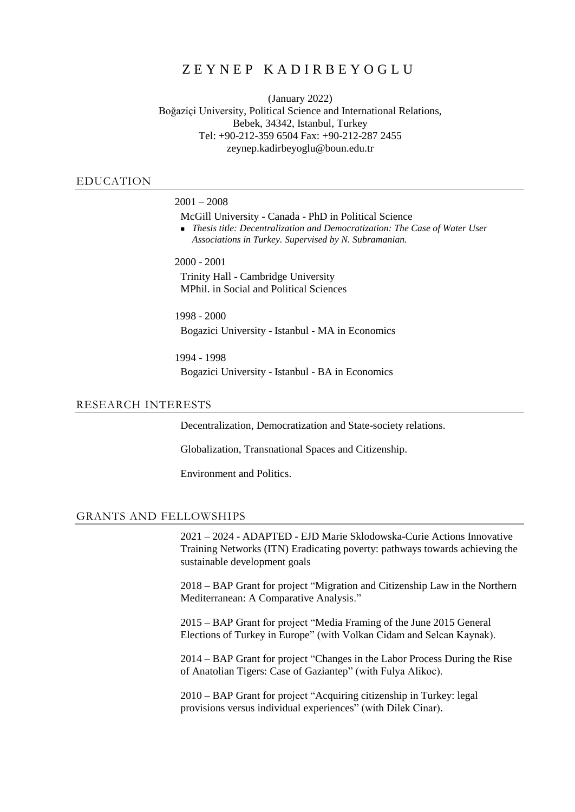# ZEYNEP KADIRBEYOGLU

(January 2022) Boğaziçi University, Political Science and International Relations, Bebek, 34342, Istanbul, Turkey Tel: +90-212-359 6504 Fax: +90-212-287 2455 zeynep.kadirbeyoglu@boun.edu.tr

# EDUCATION

 $2001 - 2008$ 

McGill University - Canada - PhD in Political Science

 *Thesis title: Decentralization and Democratization: The Case of Water User Associations in Turkey. Supervised by N. Subramanian.* 

2000 - 2001

Trinity Hall - Cambridge University MPhil. in Social and Political Sciences

1998 - 2000 Bogazici University - Istanbul - MA in Economics

1994 - 1998 Bogazici University - Istanbul - BA in Economics

#### RESEARCH INTERESTS

Decentralization, Democratization and State-society relations.

Globalization, Transnational Spaces and Citizenship.

Environment and Politics.

# GRANTS AND FELLOWSHIPS

2021 – 2024 - ADAPTED - EJD Marie Sklodowska-Curie Actions Innovative Training Networks (ITN) Eradicating poverty: pathways towards achieving the sustainable development goals

2018 – BAP Grant for project "Migration and Citizenship Law in the Northern Mediterranean: A Comparative Analysis."

2015 – BAP Grant for project "Media Framing of the June 2015 General Elections of Turkey in Europe" (with Volkan Cidam and Selcan Kaynak).

2014 – BAP Grant for project "Changes in the Labor Process During the Rise of Anatolian Tigers: Case of Gaziantep" (with Fulya Alikoc).

2010 – BAP Grant for project "Acquiring citizenship in Turkey: legal provisions versus individual experiences" (with Dilek Cinar).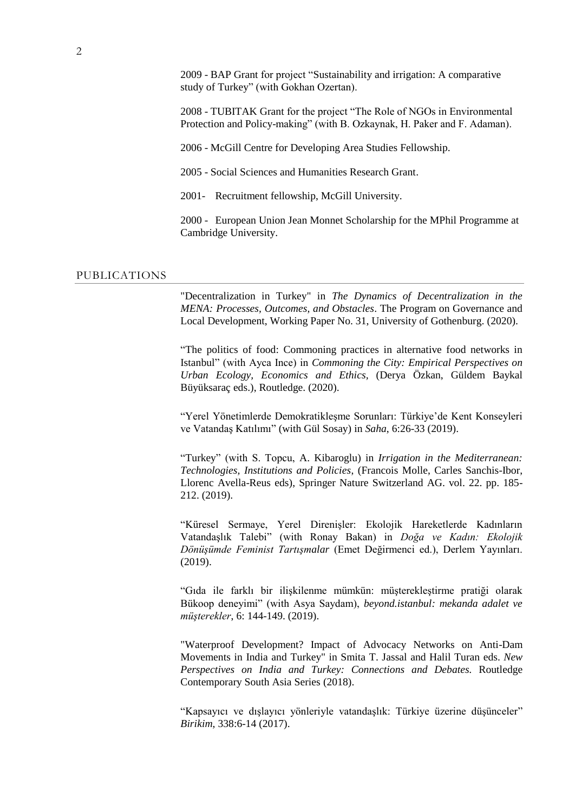2009 - BAP Grant for project "Sustainability and irrigation: A comparative study of Turkey" (with Gokhan Ozertan).

2008 - TUBITAK Grant for the project "The Role of NGOs in Environmental Protection and Policy-making" (with B. Ozkaynak, H. Paker and F. Adaman).

2006 - McGill Centre for Developing Area Studies Fellowship.

2005 - Social Sciences and Humanities Research Grant.

2001- Recruitment fellowship, McGill University.

2000 - European Union Jean Monnet Scholarship for the MPhil Programme at Cambridge University.

#### PUBLICATIONS

"Decentralization in Turkey" in *The Dynamics of Decentralization in the MENA: Processes, Outcomes, and Obstacles*. The Program on Governance and Local Development, Working Paper No. 31, University of Gothenburg. (2020).

"The politics of food: Commoning practices in alternative food networks in Istanbul" (with Ayca Ince) in *Commoning the City: Empirical Perspectives on Urban Ecology, Economics and Ethics,* (Derya Özkan, Güldem Baykal Büyüksaraç eds.), Routledge. (2020).

"Yerel Yönetimlerde Demokratikleşme Sorunları: Türkiye'de Kent Konseyleri ve Vatandaş Katılımı" (with Gül Sosay) in *Saha*, 6:26-33 (2019).

"Turkey" (with S. Topcu, A. Kibaroglu) in *Irrigation in the Mediterranean: Technologies, Institutions and Policies*, (Francois Molle, Carles Sanchis-Ibor, Llorenc Avella-Reus eds), Springer Nature Switzerland AG. vol. 22. pp. 185- 212. (2019).

"Küresel Sermaye, Yerel Direnişler: Ekolojik Hareketlerde Kadınların Vatandaşlık Talebi" (with Ronay Bakan) in *Doğa ve Kadın: Ekolojik Dönüşümde Feminist Tartışmalar* (Emet Değirmenci ed.), Derlem Yayınları. (2019).

"Gıda ile farklı bir ilişkilenme mümkün: müşterekleştirme pratiği olarak Bükoop deneyimi" (with Asya Saydam), *beyond.istanbul: mekanda adalet ve müşterekler*, 6: 144-149. (2019).

"Waterproof Development? Impact of Advocacy Networks on Anti-Dam Movements in India and Turkey" in Smita T. Jassal and Halil Turan eds. *New Perspectives on India and Turkey: Connections and Debates.* Routledge Contemporary South Asia Series (2018).

"Kapsayıcı ve dışlayıcı yönleriyle vatandaşlık: Türkiye üzerine düşünceler" *Birikim*, 338:6-14 (2017).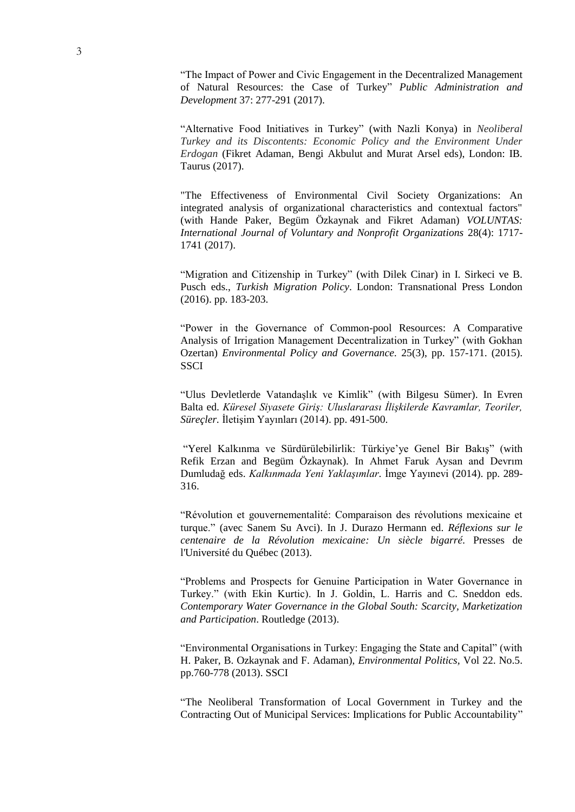"The Impact of Power and Civic Engagement in the Decentralized Management of Natural Resources: the Case of Turkey" *Public Administration and Development* 37: 277-291 (2017).

"Alternative Food Initiatives in Turkey" (with Nazli Konya) in *Neoliberal Turkey and its Discontents: Economic Policy and the Environment Under Erdogan* (Fikret Adaman, Bengi Akbulut and Murat Arsel eds), London: IB. Taurus (2017).

"The Effectiveness of Environmental Civil Society Organizations: An integrated analysis of organizational characteristics and contextual factors" (with Hande Paker, Begüm Özkaynak and Fikret Adaman) *VOLUNTAS: International Journal of Voluntary and Nonprofit Organizations* 28(4): 1717- 1741 (2017).

"Migration and Citizenship in Turkey" (with Dilek Cinar) in I. Sirkeci ve B. Pusch eds., *Turkish Migration Policy*. London: Transnational Press London (2016). pp. 183-203.

"Power in the Governance of Common-pool Resources: A Comparative Analysis of Irrigation Management Decentralization in Turkey" (with Gokhan Ozertan) *Environmental Policy and Governance.* 25(3), pp. 157-171. (2015). **SSCI** 

"Ulus Devletlerde Vatandaşlık ve Kimlik" (with Bilgesu Sümer). In Evren Balta ed. *Küresel Siyasete Giriş: Uluslararası İlişkilerde Kavramlar, Teoriler, Süreçler.* İletişim Yayınları (2014). pp. 491-500.

"Yerel Kalkınma ve Sürdürülebilirlik: Türkiye'ye Genel Bir Bakış" (with Refik Erzan and Begüm Özkaynak). In Ahmet Faruk Aysan and Devrım Dumludağ eds. *Kalkınmada Yeni Yaklaşımlar.* İmge Yayınevi (2014). pp. 289- 316.

"Révolution et gouvernementalité: Comparaison des révolutions mexicaine et turque." (avec Sanem Su Avci). In J. Durazo Hermann ed. *Réflexions sur le centenaire de la Révolution mexicaine: Un siècle bigarré.* Presses de l'Université du Québec (2013).

"Problems and Prospects for Genuine Participation in Water Governance in Turkey." (with Ekin Kurtic). In J. Goldin, L. Harris and C. Sneddon eds. *Contemporary Water Governance in the Global South: Scarcity, Marketization and Participation*. Routledge (2013).

"Environmental Organisations in Turkey: Engaging the State and Capital" (with H. Paker, B. Ozkaynak and F. Adaman), *Environmental Politics,* Vol 22. No.5. pp.760-778 (2013). SSCI

"The Neoliberal Transformation of Local Government in Turkey and the Contracting Out of Municipal Services: Implications for Public Accountability"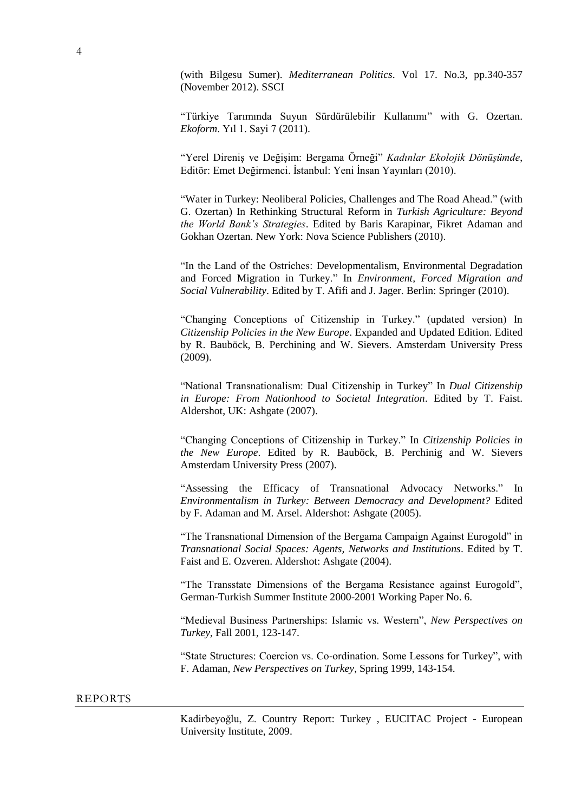(with Bilgesu Sumer). *Mediterranean Politics*. Vol 17. No.3, pp.340-357 (November 2012). SSCI

"Türkiye Tarımında Suyun Sürdürülebilir Kullanımı" with G. Ozertan. *Ekoform*. Yıl 1. Sayi 7 (2011).

"Yerel Direniş ve Değişim: Bergama Örneği" *Kadınlar Ekolojik Dönüşümde*, Editör: Emet Değirmenci. İstanbul: Yeni İnsan Yayınları (2010).

"Water in Turkey: Neoliberal Policies, Challenges and The Road Ahead." (with G. Ozertan) In Rethinking Structural Reform in *Turkish Agriculture: Beyond the World Bank's Strategies*. Edited by Baris Karapinar, Fikret Adaman and Gokhan Ozertan. New York: Nova Science Publishers (2010).

"In the Land of the Ostriches: Developmentalism, Environmental Degradation and Forced Migration in Turkey." In *Environment, Forced Migration and Social Vulnerability*. Edited by T. Afifi and J. Jager. Berlin: Springer (2010).

"Changing Conceptions of Citizenship in Turkey." (updated version) In *Citizenship Policies in the New Europe*. Expanded and Updated Edition. Edited by R. Bauböck, B. Perchining and W. Sievers. Amsterdam University Press (2009).

"National Transnationalism: Dual Citizenship in Turkey" In *Dual Citizenship in Europe: From Nationhood to Societal Integration*. Edited by T. Faist. Aldershot, UK: Ashgate (2007).

"Changing Conceptions of Citizenship in Turkey." In *Citizenship Policies in the New Europe*. Edited by R. Bauböck, B. Perchinig and W. Sievers Amsterdam University Press (2007).

"Assessing the Efficacy of Transnational Advocacy Networks." In *Environmentalism in Turkey: Between Democracy and Development?* Edited by F. Adaman and M. Arsel. Aldershot: Ashgate (2005).

"The Transnational Dimension of the Bergama Campaign Against Eurogold" in *Transnational Social Spaces: Agents, Networks and Institutions*. Edited by T. Faist and E. Ozveren. Aldershot: Ashgate (2004).

"The Transstate Dimensions of the Bergama Resistance against Eurogold", German-Turkish Summer Institute 2000-2001 Working Paper No. 6.

"Medieval Business Partnerships: Islamic vs. Western", *New Perspectives on Turkey*, Fall 2001, 123-147.

"State Structures: Coercion vs. Co-ordination. Some Lessons for Turkey", with F. Adaman, *New Perspectives on Turkey*, Spring 1999, 143-154.

#### REPORTS

Kadirbeyoğlu, Z. Country Report: Turkey , EUCITAC Project - European University Institute, 2009.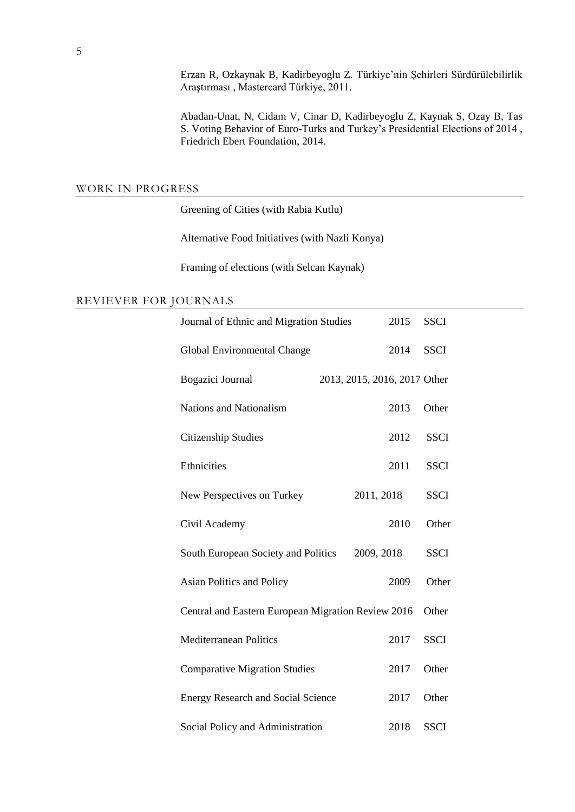Erzan R, Ozkaynak B, Kadirbeyoglu Z. Türkiye'nin Şehirleri Sürdürülebilirlik Araştırması , Mastercard Türkiye, 2011.

Abadan-Unat, N, Cidam V, Cinar D, Kadirbeyoglu Z, Kaynak S, Ozay B, Tas S. Voting Behavior of Euro-Turks and Turkey's Presidential Elections of 2014 , Friedrich Ebert Foundation, 2014.

# WORK IN PROGRESS

Greening of Cities (with Rabia Kutlu)

Alternative Food Initiatives (with Nazli Konya)

Framing of elections (with Selcan Kaynak)

# REVIEVER FOR JOURNALS

| Journal of Ethnic and Migration Studies            | 2015                         | <b>SSCI</b> |
|----------------------------------------------------|------------------------------|-------------|
| Global Environmental Change                        | 2014                         | <b>SSCI</b> |
| Bogazici Journal                                   | 2013, 2015, 2016, 2017 Other |             |
| <b>Nations and Nationalism</b>                     | 2013                         | Other       |
| Citizenship Studies                                | 2012                         | <b>SSCI</b> |
| Ethnicities                                        | 2011                         | <b>SSCI</b> |
| New Perspectives on Turkey                         | 2011, 2018                   | <b>SSCI</b> |
| Civil Academy                                      | 2010                         | Other       |
| South European Society and Politics                | 2009, 2018                   | <b>SSCI</b> |
| Asian Politics and Policy                          | 2009                         | Other       |
| Central and Eastern European Migration Review 2016 |                              | Other       |
| <b>Mediterranean Politics</b>                      | 2017                         | <b>SSCI</b> |
| <b>Comparative Migration Studies</b>               | 2017                         | Other       |
| <b>Energy Research and Social Science</b>          | 2017                         | Other       |
| Social Policy and Administration                   | 2018                         | <b>SSCI</b> |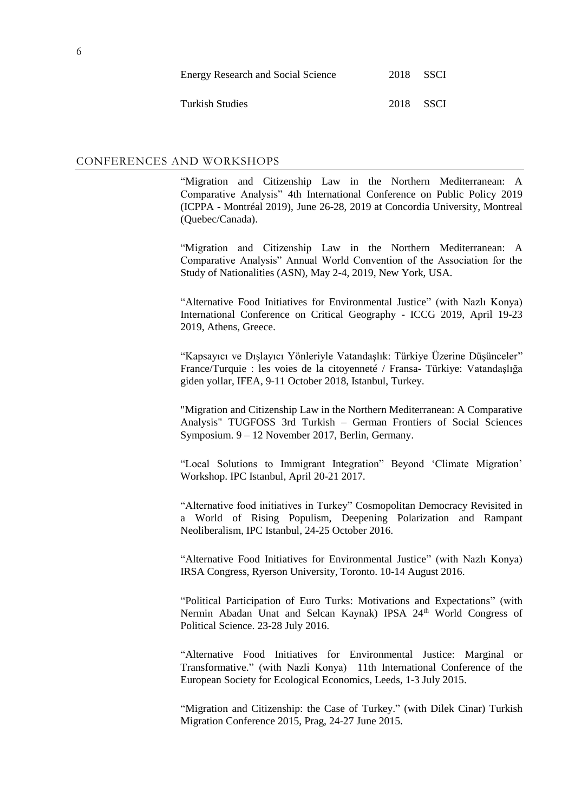| <b>Energy Research and Social Science</b> | 2018 SSCI |  |
|-------------------------------------------|-----------|--|
| Turkish Studies                           | 2018 SSCI |  |

# CONFERENCES AND WORKSHOPS

"Migration and Citizenship Law in the Northern Mediterranean: A Comparative Analysis" 4th International Conference on Public Policy 2019 (ICPPA - Montréal 2019), June 26-28, 2019 at Concordia University, Montreal (Quebec/Canada).

"Migration and Citizenship Law in the Northern Mediterranean: A Comparative Analysis" Annual World Convention of the Association for the Study of Nationalities (ASN), May 2-4, 2019, New York, USA.

"Alternative Food Initiatives for Environmental Justice" (with Nazlı Konya) International Conference on Critical Geography - ICCG 2019, April 19-23 2019, Athens, Greece.

"Kapsayıcı ve Dışlayıcı Yönleriyle Vatandaşlık: Türkiye Üzerine Düşünceler" France/Turquie : les voies de la citoyenneté / Fransa- Türkiye: Vatandaşlığa giden yollar, IFEA, 9-11 October 2018, Istanbul, Turkey.

"Migration and Citizenship Law in the Northern Mediterranean: A Comparative Analysis" TUGFOSS 3rd Turkish – German Frontiers of Social Sciences Symposium. 9 – 12 November 2017, Berlin, Germany.

"Local Solutions to Immigrant Integration" Beyond 'Climate Migration' Workshop. IPC Istanbul, April 20-21 2017.

"Alternative food initiatives in Turkey" Cosmopolitan Democracy Revisited in a World of Rising Populism, Deepening Polarization and Rampant Neoliberalism, IPC Istanbul, 24-25 October 2016.

"Alternative Food Initiatives for Environmental Justice" (with Nazlı Konya) IRSA Congress, Ryerson University, Toronto. 10-14 August 2016.

"Political Participation of Euro Turks: Motivations and Expectations" (with Nermin Abadan Unat and Selcan Kaynak) IPSA 24<sup>th</sup> World Congress of Political Science. 23-28 July 2016.

"Alternative Food Initiatives for Environmental Justice: Marginal or Transformative." (with Nazli Konya) 11th International Conference of the European Society for Ecological Economics, Leeds, 1-3 July 2015.

"Migration and Citizenship: the Case of Turkey." (with Dilek Cinar) Turkish Migration Conference 2015, Prag, 24-27 June 2015.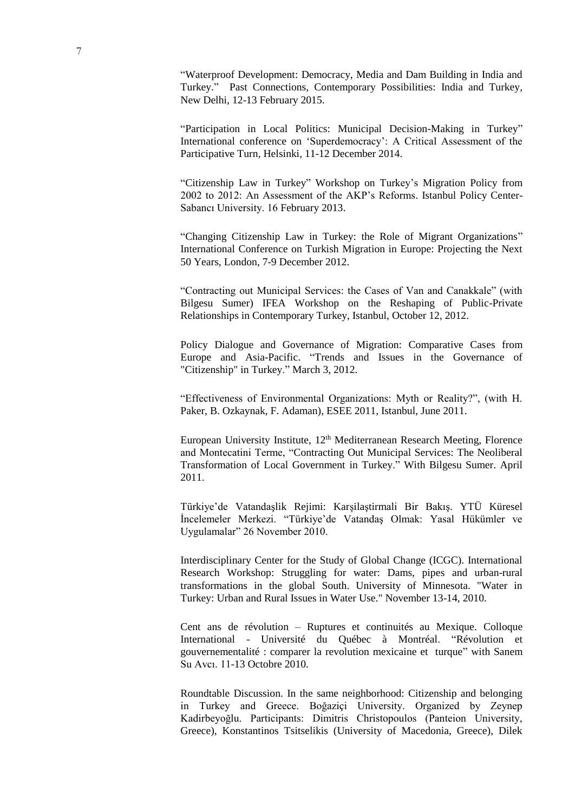"Waterproof Development: Democracy, Media and Dam Building in India and Turkey." Past Connections, Contemporary Possibilities: India and Turkey, New Delhi, 12-13 February 2015.

"Participation in Local Politics: Municipal Decision-Making in Turkey" International conference on 'Superdemocracy': A Critical Assessment of the Participative Turn, Helsinki, 11-12 December 2014.

"Citizenship Law in Turkey" Workshop on Turkey's Migration Policy from 2002 to 2012: An Assessment of the AKP's Reforms. Istanbul Policy Center-Sabancı University. 16 February 2013.

"Changing Citizenship Law in Turkey: the Role of Migrant Organizations" International Conference on Turkish Migration in Europe: Projecting the Next 50 Years, London, 7-9 December 2012.

"Contracting out Municipal Services: the Cases of Van and Canakkale" (with Bilgesu Sumer) IFEA Workshop on the Reshaping of Public-Private Relationships in Contemporary Turkey, Istanbul, October 12, 2012.

Policy Dialogue and Governance of Migration: Comparative Cases from Europe and Asia-Pacific. "Trends and Issues in the Governance of "Citizenship" in Turkey." March 3, 2012.

"Effectiveness of Environmental Organizations: Myth or Reality?", (with H. Paker, B. Ozkaynak, F. Adaman), ESEE 2011, Istanbul, June 2011.

European University Institute, 12<sup>th</sup> Mediterranean Research Meeting, Florence and Montecatini Terme, "Contracting Out Municipal Services: The Neoliberal Transformation of Local Government in Turkey." With Bilgesu Sumer. April 2011.

Türkiye'de Vatandaşlik Rejimi: Karşilaştirmali Bir Bakış. YTÜ Küresel İncelemeler Merkezi. "Türkiye'de Vatandaş Olmak: Yasal Hükümler ve Uygulamalar" 26 November 2010.

Interdisciplinary Center for the Study of Global Change (ICGC). International Research Workshop: Struggling for water: Dams, pipes and urban-rural transformations in the global South. University of Minnesota. "Water in Turkey: Urban and Rural Issues in Water Use." November 13-14, 2010.

Cent ans de révolution – Ruptures et continuités au Mexique. Colloque International - Université du Québec à Montréal. "Révolution et gouvernementalité : comparer la revolution mexicaine et turque" with Sanem Su Avcı. 11-13 Octobre 2010.

Roundtable Discussion. In the same neighborhood: Citizenship and belonging in Turkey and Greece. Boğaziçi University. Organized by Zeynep Kadirbeyoğlu. Participants: Dimitris Christopoulos (Panteion University, Greece), Konstantinos Tsitselikis (University of Macedonia, Greece), Dilek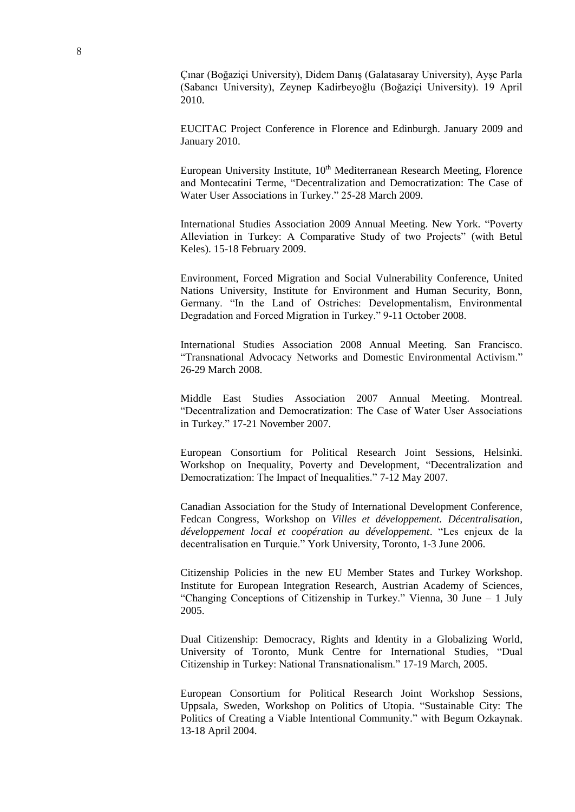Çınar (Boğaziçi University), Didem Danış (Galatasaray University), Ayşe Parla (Sabancı University), Zeynep Kadirbeyoğlu (Boğaziçi University). 19 April 2010.

EUCITAC Project Conference in Florence and Edinburgh. January 2009 and January 2010.

European University Institute, 10<sup>th</sup> Mediterranean Research Meeting, Florence and Montecatini Terme, "Decentralization and Democratization: The Case of Water User Associations in Turkey." 25-28 March 2009.

International Studies Association 2009 Annual Meeting. New York. "Poverty Alleviation in Turkey: A Comparative Study of two Projects" (with Betul Keles). 15-18 February 2009.

Environment, Forced Migration and Social Vulnerability Conference, United Nations University, Institute for Environment and Human Security, Bonn, Germany. "In the Land of Ostriches: Developmentalism, Environmental Degradation and Forced Migration in Turkey." 9-11 October 2008.

International Studies Association 2008 Annual Meeting. San Francisco. "Transnational Advocacy Networks and Domestic Environmental Activism." 26-29 March 2008.

Middle East Studies Association 2007 Annual Meeting. Montreal. "Decentralization and Democratization: The Case of Water User Associations in Turkey." 17-21 November 2007.

European Consortium for Political Research Joint Sessions, Helsinki. Workshop on Inequality, Poverty and Development, "Decentralization and Democratization: The Impact of Inequalities." 7-12 May 2007.

Canadian Association for the Study of International Development Conference, Fedcan Congress, Workshop on *Villes et développement. Décentralisation, développement local et coopération au développement*. "Les enjeux de la decentralisation en Turquie." York University, Toronto, 1-3 June 2006.

Citizenship Policies in the new EU Member States and Turkey Workshop. Institute for European Integration Research, Austrian Academy of Sciences, "Changing Conceptions of Citizenship in Turkey." Vienna, 30 June – 1 July 2005.

Dual Citizenship: Democracy, Rights and Identity in a Globalizing World, University of Toronto, Munk Centre for International Studies, "Dual Citizenship in Turkey: National Transnationalism." 17-19 March, 2005.

European Consortium for Political Research Joint Workshop Sessions, Uppsala, Sweden, Workshop on Politics of Utopia. "Sustainable City: The Politics of Creating a Viable Intentional Community." with Begum Ozkaynak. 13-18 April 2004.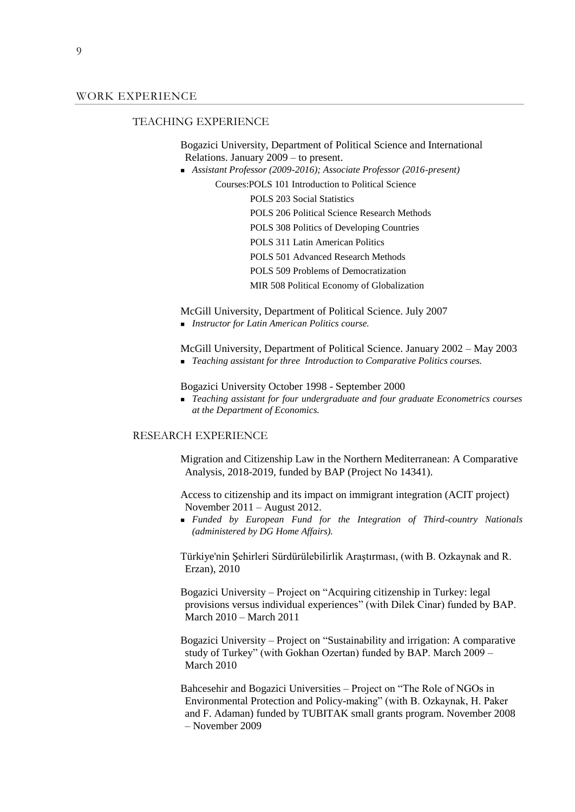#### TEACHING EXPERIENCE

Bogazici University, Department of Political Science and International Relations. January 2009 – to present.

*Assistant Professor (2009-2016); Associate Professor (2016-present)*

Courses:POLS 101 Introduction to Political Science

POLS 203 Social Statistics POLS 206 Political Science Research Methods POLS 308 Politics of Developing Countries POLS 311 Latin American Politics POLS 501 Advanced Research Methods POLS 509 Problems of Democratization MIR 508 Political Economy of Globalization

McGill University, Department of Political Science. July 2007

*Instructor for Latin American Politics course.* 

McGill University, Department of Political Science. January 2002 – May 2003

*Teaching assistant for three Introduction to Comparative Politics courses.*

Bogazici University October 1998 - September 2000

 *Teaching assistant for four undergraduate and four graduate Econometrics courses at the Department of Economics.*

#### RESEARCH EXPERIENCE

Migration and Citizenship Law in the Northern Mediterranean: A Comparative Analysis, 2018-2019, funded by BAP (Project No 14341).

Access to citizenship and its impact on immigrant integration (ACIT project) November 2011 – August 2012.

 *Funded by European Fund for the Integration of Third-country Nationals (administered by DG Home Affairs).* 

Türkiye'nin Şehirleri Sürdürülebilirlik Araştırması, (with B. Ozkaynak and R. Erzan), 2010

Bogazici University – Project on "Acquiring citizenship in Turkey: legal provisions versus individual experiences" (with Dilek Cinar) funded by BAP. March 2010 – March 2011

Bogazici University – Project on "Sustainability and irrigation: A comparative study of Turkey" (with Gokhan Ozertan) funded by BAP. March 2009 – March 2010

Bahcesehir and Bogazici Universities – Project on "The Role of NGOs in Environmental Protection and Policy-making" (with B. Ozkaynak, H. Paker and F. Adaman) funded by TUBITAK small grants program. November 2008 – November 2009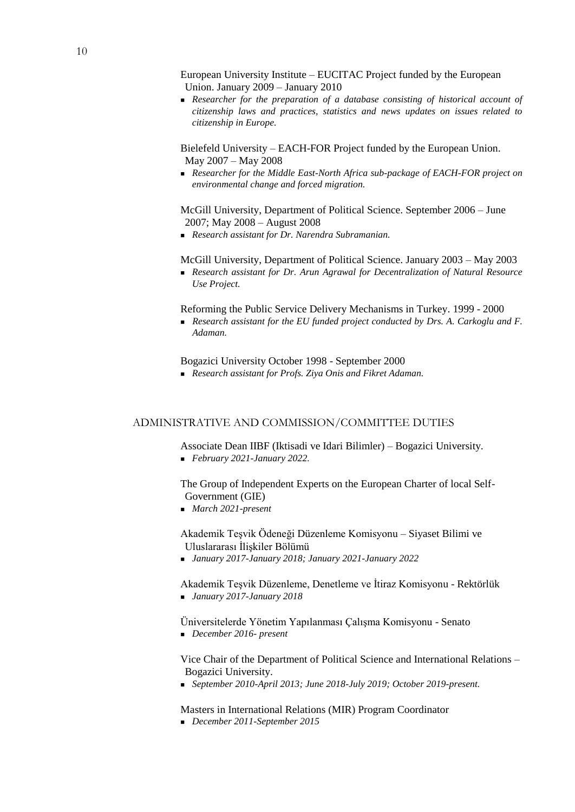**Researcher for the preparation of a database consisting of historical account of** *citizenship laws and practices, statistics and news updates on issues related to citizenship in Europe.* 

Bielefeld University – EACH-FOR Project funded by the European Union. May 2007 – May 2008

 *Researcher for the Middle East-North Africa sub-package of EACH-FOR project on environmental change and forced migration.* 

McGill University, Department of Political Science. September 2006 – June 2007; May 2008 – August 2008

*Research assistant for Dr. Narendra Subramanian.*

McGill University, Department of Political Science. January 2003 – May 2003

 *Research assistant for Dr. Arun Agrawal for Decentralization of Natural Resource Use Project.*

Reforming the Public Service Delivery Mechanisms in Turkey. 1999 - 2000

**Research assistant for the EU funded project conducted by Drs. A. Carkoglu and F.** *Adaman.* 

Bogazici University October 1998 - September 2000

*Research assistant for Profs. Ziya Onis and Fikret Adaman.* 

# ADMINISTRATIVE AND COMMISSION/COMMITTEE DUTIES

Associate Dean IIBF (Iktisadi ve Idari Bilimler) – Bogazici University. *February 2021-January 2022.*

The Group of Independent Experts on the European Charter of local Self-Government (GIE)

*March 2021-present*

Akademik Teşvik Ödeneği Düzenleme Komisyonu – Siyaset Bilimi ve Uluslararası İlişkiler Bölümü

*January 2017-January 2018; January 2021-January 2022*

Akademik Teşvik Düzenleme, Denetleme ve İtiraz Komisyonu - Rektörlük *January 2017-January 2018*

Üniversitelerde Yönetim Yapılanması Çalışma Komisyonu - Senato *December 2016- present*

Vice Chair of the Department of Political Science and International Relations – Bogazici University.

*September 2010-April 2013; June 2018-July 2019; October 2019-present.*

Masters in International Relations (MIR) Program Coordinator *December 2011-September 2015*